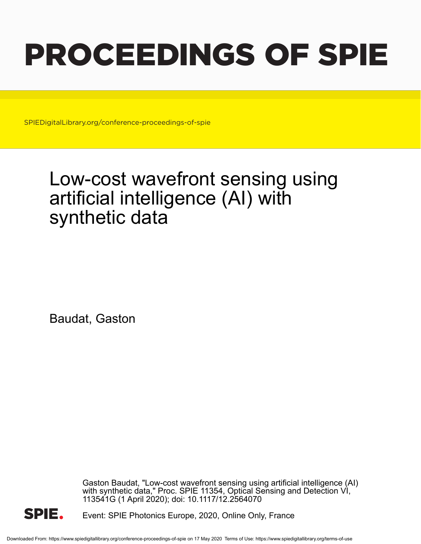# PROCEEDINGS OF SPIE

SPIEDigitalLibrary.org/conference-proceedings-of-spie

# Low-cost wavefront sensing using artificial intelligence (AI) with synthetic data

Baudat, Gaston

Gaston Baudat, "Low-cost wavefront sensing using artificial intelligence (AI) with synthetic data," Proc. SPIE 11354, Optical Sensing and Detection VI, 113541G (1 April 2020); doi: 10.1117/12.2564070



Event: SPIE Photonics Europe, 2020, Online Only, France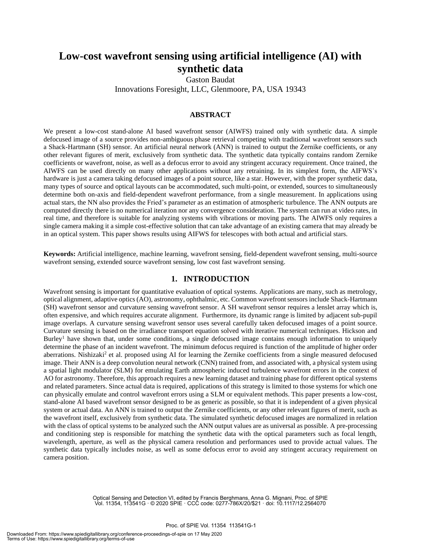# **Low-cost wavefront sensing using artificial intelligence (AI) with synthetic data**

Gaston Baudat Innovations Foresight, LLC, Glenmoore, PA, USA 19343

# **ABSTRACT**

We present a low-cost stand-alone AI based wavefront sensor (AIWFS) trained only with synthetic data. A simple defocused image of a source provides non-ambiguous phase retrieval competing with traditional wavefront sensors such a Shack-Hartmann (SH) sensor. An artificial neural network (ANN) is trained to output the Zernike coefficients, or any other relevant figures of merit, exclusively from synthetic data. The synthetic data typically contains random Zernike coefficients or wavefront, noise, as well as a defocus error to avoid any stringent accuracy requirement. Once trained, the AIWFS can be used directly on many other applications without any retraining. In its simplest form, the AIFWS's hardware is just a camera taking defocused images of a point source, like a star. However, with the proper synthetic data, many types of source and optical layouts can be accommodated, such multi-point, or extended, sources to simultaneously determine both on-axis and field-dependent wavefront performance, from a single measurement. In applications using actual stars, the NN also provides the Fried's parameter as an estimation of atmospheric turbulence. The ANN outputs are computed directly there is no numerical iteration nor any convergence consideration. The system can run at video rates, in real time, and therefore is suitable for analyzing systems with vibrations or moving parts. The AIWFS only requires a single camera making it a simple cost-effective solution that can take advantage of an existing camera that may already be in an optical system. This paper shows results using AIFWS for telescopes with both actual and artificial stars.

**Keywords:** Artificial intelligence, machine learning, wavefront sensing, field-dependent wavefront sensing, multi-source wavefront sensing, extended source wavefront sensing, low cost fast wavefront sensing.

## **1. INTRODUCTION**

Wavefront sensing is important for quantitative evaluation of optical systems. Applications are many, such as metrology, optical alignment, adaptive optics (AO), astronomy, ophthalmic, etc. Common wavefront sensors include Shack-Hartmann (SH) wavefront sensor and curvature sensing wavefront sensor. A SH wavefront sensor requires a lenslet array which is, often expensive, and which requires accurate alignment. Furthermore, its dynamic range is limited by adjacent sub-pupil image overlaps. A curvature sensing wavefront sensor uses several carefully taken defocused images of a point source. Curvature sensing is based on the irradiance transport equation solved with iterative numerical techniques. Hickson and Burley<sup>1</sup> have shown that, under some conditions, a single defocused image contains enough information to uniquely determine the phase of an incident wavefront. The minimum defocus required is function of the amplitude of higher order aberrations. Nishizaki<sup>2</sup> et al. proposed using AI for learning the Zernike coefficients from a single measured defocused image. Their ANN is a deep convolution neural network (CNN) trained from, and associated with, a physical system using a spatial light modulator (SLM) for emulating Earth atmospheric induced turbulence wavefront errors in the context of AO for astronomy. Therefore, this approach requires a new learning dataset and training phase for different optical systems and related parameters. Since actual data is required, applications of this strategy is limited to those systems for which one can physically emulate and control wavefront errors using a SLM or equivalent methods. This paper presents a low-cost, stand-alone AI based wavefront sensor designed to be as generic as possible, so that it is independent of a given physical system or actual data. An ANN is trained to output the Zernike coefficients, or any other relevant figures of merit, such as the wavefront itself, exclusively from synthetic data. The simulated synthetic defocused images are normalized in relation with the class of optical systems to be analyzed such the ANN output values are as universal as possible. A pre-processing and conditioning step is responsible for matching the synthetic data with the optical parameters such as focal length, wavelength, aperture, as well as the physical camera resolution and performances used to provide actual values. The synthetic data typically includes noise, as well as some defocus error to avoid any stringent accuracy requirement on camera position.

> Optical Sensing and Detection VI, edited by Francis Berghmans, Anna G. Mignani, Proc. of SPIE Vol. 11354, 113541G · © 2020 SPIE · CCC code: 0277-786X/20/\$21 · doi: 10.1117/12.2564070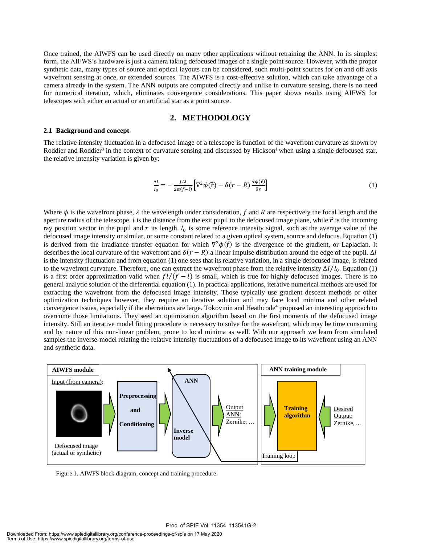Once trained, the AIWFS can be used directly on many other applications without retraining the ANN. In its simplest form, the AIFWS's hardware is just a camera taking defocused images of a single point source. However, with the proper synthetic data, many types of source and optical layouts can be considered, such multi-point sources for on and off axis wavefront sensing at once, or extended sources. The AIWFS is a cost-effective solution, which can take advantage of a camera already in the system. The ANN outputs are computed directly and unlike in curvature sensing, there is no need for numerical iteration, which, eliminates convergence considerations. This paper shows results using AIFWS for telescopes with either an actual or an artificial star as a point source.

### **2. METHODOLOGY**

#### **2.1 Background and concept**

The relative intensity fluctuation in a defocused image of a telescope is function of the wavefront curvature as shown by Roddier and Roddier<sup>3</sup> in the context of curvature sensing and discussed by Hickson<sup>1</sup> when using a single defocused star, the relative intensity variation is given by:

$$
\frac{\Delta I}{I_0} = -\frac{f l \lambda}{2\pi (f-l)} \Big[ \nabla^2 \phi(\vec{r}) - \delta(r-R) \frac{\partial \phi(\vec{r})}{\partial r} \Big] \tag{1}
$$

Where  $\phi$  is the wavefront phase,  $\lambda$  the wavelength under consideration,  $f$  and  $R$  are respectively the focal length and the aperture radius of the telescope. *l* is the distance from the exit pupil to the defocused image plane, while  $\vec{r}$  is the incoming ray position vector in the pupil and  $r$  its length.  $I_0$  is some reference intensity signal, such as the average value of the defocused image intensity or similar, or some constant related to a given optical system, source and defocus. Equation (1) is derived from the irradiance transfer equation for which  $\nabla^2 \phi(\vec{r})$  is the divergence of the gradient, or Laplacian. It describes the local curvature of the wavefront and  $\delta(r - R)$  a linear impulse distribution around the edge of the pupil.  $\Delta I$ is the intensity fluctuation and from equation (1) one sees that its relative variation, in a single defocused image, is related to the wavefront curvature. Therefore, one can extract the wavefront phase from the relative intensity  $\Delta I/I_0$ . Equation (1) is a first order approximation valid when  $f l/(f - l)$  is small, which is true for highly defocused images. There is no general analytic solution of the differential equation (1). In practical applications, iterative numerical methods are used for extracting the wavefront from the defocused image intensity. Those typically use gradient descent methods or other optimization techniques however, they require an iterative solution and may face local minima and other related convergence issues, especially if the aberrations are large. Tokovinin and Heathcode<sup>4</sup> proposed an interesting approach to overcome those limitations. They seed an optimization algorithm based on the first moments of the defocused image intensity. Still an iterative model fitting procedure is necessary to solve for the wavefront, which may be time consuming and by nature of this non-linear problem, prone to local minima as well. With our approach we learn from simulated samples the inverse-model relating the relative intensity fluctuations of a defocused image to its wavefront using an ANN and synthetic data.



Figure 1. AIWFS block diagram, concept and training procedure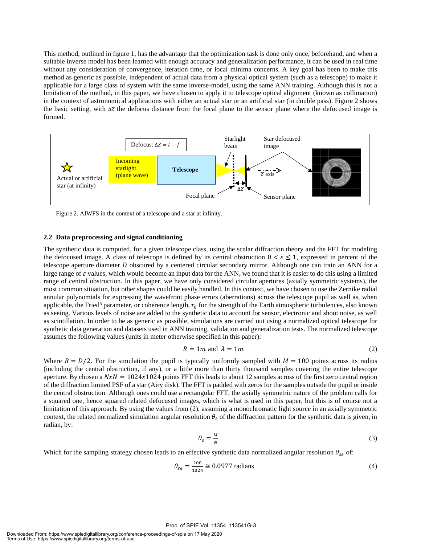This method, outlined in figure 1, has the advantage that the optimization task is done only once, beforehand, and when a suitable inverse model has been learned with enough accuracy and generalization performance, it can be used in real time without any consideration of convergence, iteration time, or local minima concerns. A key goal has been to make this method as generic as possible, independent of actual data from a physical optical system (such as a telescope) to make it applicable for a large class of system with the same inverse-model, using the same ANN training. Although this is not a limitation of the method, in this paper, we have chosen to apply it to telescope optical alignment (known as collimation) in the context of astronomical applications with either an actual star or an artificial star (in double pass). Figure 2 shows the basic setting, with ∆*z* the defocus distance from the focal plane to the sensor plane where the defocused image is formed.



Figure 2. AIWFS in the context of a telescope and a star at infinity.

#### **2.2 Data preprocessing and signal conditioning**

The synthetic data is computed, for a given telescope class, using the scalar diffraction theory and the FFT for modeling the defocused image. A class of telescope is defined by its central obstruction  $0 < \varepsilon \le 1$ , expressed in percent of the telescope aperture diameter  $D$  obscured by a centered circular secondary mirror. Although one can train an ANN for a large range of  $\varepsilon$  values, which would become an input data for the ANN, we found that it is easier to do this using a limited range of central obstruction. In this paper, we have only considered circular apertures (axially symmetric systems), the most common situation, but other shapes could be easily handled. In this context, we have chosen to use the Zernike radial annular polynomials for expressing the wavefront phase errors (aberrations) across the telescope pupil as well as, when applicable, the Fried<sup>5</sup> parameter, or coherence length,  $r_0$  for the strength of the Earth atmospheric turbulences, also known as seeing. Various levels of noise are added to the synthetic data to account for sensor, electronic and shoot noise, as well as scintillation. In order to be as generic as possible, simulations are carried out using a normalized optical telescope for synthetic data generation and datasets used in ANN training, validation and generalization tests. The normalized telescope assumes the following values (units in meter otherwise specified in this paper):

$$
R = 1m \text{ and } \lambda = 1m \tag{2}
$$

Where  $R = D/2$ . For the simulation the pupil is typically uniformly sampled with  $M = 100$  points across its radius (including the central obstruction, if any), or a little more than thirty thousand samples covering the entire telescope aperture. By chosen a  $NxN = 1024x1024$  points FFT this leads to about 12 samples across of the first zero central region of the diffraction limited PSF of a star (Airy disk). The FFT is padded with zeros for the samples outside the pupil or inside the central obstruction. Although ones could use a rectangular FFT, the axially symmetric nature of the problem calls for a squared one, hence squared related defocused images, which is what is used in this paper, but this is of course not a limitation of this approach. By using the values from (2), assuming a monochromatic light source in an axially symmetric context, the related normalized simulation angular resolution  $\theta_s$  of the diffraction pattern for the synthetic data is given, in radian, by:

$$
\theta_s = \frac{M}{N} \tag{3}
$$

Which for the sampling strategy chosen leads to an effective synthetic data normalized angular resolution  $\theta_{se}$  of:

$$
\theta_{se} = \frac{100}{1024} \approx 0.0977 \text{ radians}
$$
\n<sup>(4)</sup>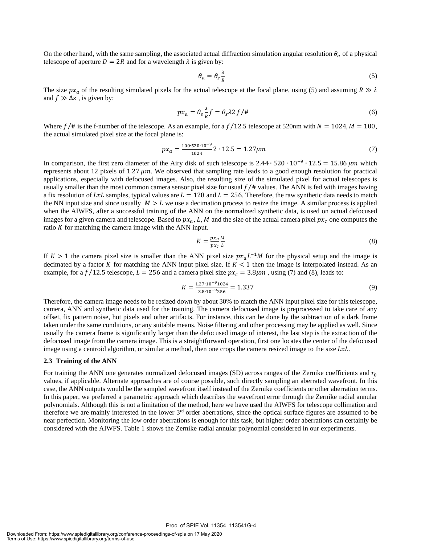On the other hand, with the same sampling, the associated actual diffraction simulation angular resolution  $\theta_a$  of a physical telescope of aperture  $D = 2R$  and for a wavelength  $\lambda$  is given by:

$$
\theta_a = \theta_s \frac{\lambda}{R} \tag{5}
$$

The size  $px_a$  of the resulting simulated pixels for the actual telescope at the focal plane, using (5) and assuming  $R \gg \lambda$ and  $f \gg \Delta z$ , is given by:

$$
px_a = \theta_s \frac{\lambda}{R} f = \theta_s \lambda 2 f / \pi \tag{6}
$$

Where  $f/\#$  is the f-number of the telescope. As an example, for a  $f/12.5$  telescope at 520nm with  $N = 1024$ ,  $M = 100$ , the actual simulated pixel size at the focal plane is:

$$
px_a = \frac{100 \cdot 520 \cdot 10^{-9}}{1024} \cdot 12.5 = 1.27 \mu m \tag{7}
$$

In comparison, the first zero diameter of the Airy disk of such telescope is  $2.44 \cdot 520 \cdot 10^{-9} \cdot 12.5 = 15.86 \ \mu m$  which represents about 12 pixels of 1.27  $\mu$ m. We observed that sampling rate leads to a good enough resolution for practical applications, especially with defocused images. Also, the resulting size of the simulated pixel for actual telescopes is usually smaller than the most common camera sensor pixel size for usual  $f/\text{\#}$  values. The ANN is fed with images having a fix resolution of LxL samples, typical values are  $L = 128$  and  $L = 256$ . Therefore, the raw synthetic data needs to match the NN input size and since usually  $M > L$  we use a decimation process to resize the image. A similar process is applied when the AIWFS, after a successful training of the ANN on the normalized synthetic data, is used on actual defocused images for a given camera and telescope. Based to  $px_a$ , L, M and the size of the actual camera pixel  $px_c$  one computes the ratio  $K$  for matching the camera image with the ANN input.

$$
K = \frac{px_a}{px_c} \frac{M}{L} \tag{8}
$$

If  $K > 1$  the camera pixel size is smaller than the ANN pixel size  $px_aL^{-1}M$  for the physical setup and the image is decimated by a factor K for matching the ANN input pixel size. If  $K < 1$  then the image is interpolated instead. As an example, for a  $f/12.5$  telescope,  $L = 256$  and a camera pixel size  $px_c = 3.8 \mu m$ , using (7) and (8), leads to:

$$
K = \frac{1.27 \cdot 10^{-9} 1024}{3.8 \cdot 10^{-9} 256} = 1.337
$$
\n(9)

Therefore, the camera image needs to be resized down by about 30% to match the ANN input pixel size for this telescope, camera, ANN and synthetic data used for the training. The camera defocused image is preprocessed to take care of any offset, fix pattern noise, hot pixels and other artifacts. For instance, this can be done by the subtraction of a dark frame taken under the same conditions, or any suitable means. Noise filtering and other processing may be applied as well. Since usually the camera frame is significantly larger than the defocused image of interest, the last step is the extraction of the defocused image from the camera image. This is a straightforward operation, first one locates the center of the defocused image using a centroid algorithm, or similar a method, then one crops the camera resized image to the size  $LxL$ .

#### **2.3 Training of the ANN**

For training the ANN one generates normalized defocused images (SD) across ranges of the Zernike coefficients and  $r_0$ values, if applicable. Alternate approaches are of course possible, such directly sampling an aberrated wavefront. In this case, the ANN outputs would be the sampled wavefront itself instead of the Zernike coefficients or other aberration terms. In this paper, we preferred a parametric approach which describes the wavefront error through the Zernike radial annular polynomials. Although this is not a limitation of the method, here we have used the AIWFS for telescope collimation and therefore we are mainly interested in the lower  $3<sup>rd</sup>$  order aberrations, since the optical surface figures are assumed to be near perfection. Monitoring the low order aberrations is enough for this task, but higher order aberrations can certainly be considered with the AIWFS. Table 1 shows the Zernike radial annular polynomial considered in our experiments.

Proc. of SPIE Vol. 11354 113541G-4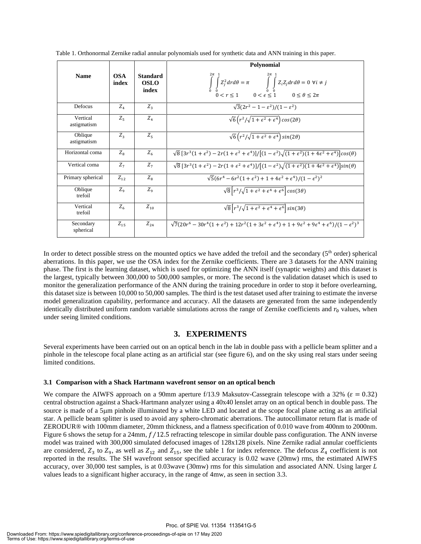|                         |                     |                                         | Polynomial                                                                                                                                                                                                                          |  |
|-------------------------|---------------------|-----------------------------------------|-------------------------------------------------------------------------------------------------------------------------------------------------------------------------------------------------------------------------------------|--|
| <b>Name</b>             | <b>OSA</b><br>index | <b>Standard</b><br><b>OSLO</b><br>index | $2\pi$ 1<br>$\int\limits_0^{\infty}\int\limits_0^{\infty} Z_j^2drd\theta=\pi \int\limits_0^{\infty}\int\limits_0^{\infty} Z_iZ_jdrd\theta=0 \ \forall i\neq j$<br>$0< r\leq 1 \qquad 0<\epsilon\leq 1 \qquad 0\leq \theta\leq 2\pi$ |  |
| Defocus                 | $Z_4$               | $Z_{3}$                                 | $\sqrt{3}(2r^2-1-\epsilon^2)/(1-\epsilon^2)$                                                                                                                                                                                        |  |
| Vertical<br>astigmatism | $Z_{\leq}$          | $Z_{A}$                                 | $\sqrt{6} (r^2/\sqrt{1+\epsilon^2+\epsilon^4}) \cos(2\theta)$                                                                                                                                                                       |  |
| Oblique<br>astigmatism  | $Z_{2}$             | $Z_{\rm g}$                             | $\sqrt{6} (r^2/\sqrt{1+\epsilon^2+\epsilon^4}) sin(2\theta)$                                                                                                                                                                        |  |
| Horizontal coma         | $Z_{\rm g}$         | $Z_{6}$                                 | $\sqrt{8}$ [3r <sup>3</sup> (1+ $\epsilon^2$ ) – 2r(1+ $\epsilon^2$ + $\epsilon^4$ )]/[(1- $\epsilon^2$ ) $\sqrt{(1+\epsilon^2)(1+4\epsilon^2+\epsilon^4)}$ cos( $\theta$ )                                                         |  |
| Vertical coma           | $Z_{\tau}$          | Z <sub>7</sub>                          | $\sqrt{8}$ [3r <sup>3</sup> (1+ $\epsilon^2$ ) – 2r(1+ $\epsilon^2$ + $\epsilon^4$ )]/[(1- $\epsilon^2$ ) $\sqrt{(1+\epsilon^2)(1+4\epsilon^2+\epsilon^4)}$ ]sin( $\theta$ )                                                        |  |
| Primary spherical       | $Z_{12}$            | $Z_{\rm g}$                             | $\sqrt{5}(6r^4 - 6r^2(1+\epsilon^2) + 1 + 4\epsilon^2 + \epsilon^4)/(1-\epsilon^2)^2$                                                                                                                                               |  |
| Oblique<br>trefoil      | $Z_{\alpha}$        | $Z_{\rm o}$                             | $\sqrt{8}\left[r^3/\sqrt{1+\epsilon^2+\epsilon^4+\epsilon^6}\right]cos(3\theta)$                                                                                                                                                    |  |
| Vertical<br>trefoil     | $Z_{\epsilon}$      | $Z_{10}$                                | $\sqrt{8}\left[r^3/\sqrt{1+\epsilon^2+\epsilon^4+\epsilon^6}\right]sin(3\theta)$                                                                                                                                                    |  |
| Secondary<br>spherical  | $Z_{15}$            | $Z_{24}$                                | $\sqrt{7}(20r^6-30r^4(1+\epsilon^2)+12r^2(1+3\epsilon^2+\epsilon^4)+1+9\epsilon^2+9\epsilon^4+\epsilon^6)/(1-\epsilon^2)^3$                                                                                                         |  |

Table 1. Orthonormal Zernike radial annular polynomials used for synthetic data and ANN training in this paper.

In order to detect possible stress on the mounted optics we have added the trefoil and the secondary  $(5<sup>th</sup>$  order) spherical aberrations. In this paper, we use the OSA index for the Zernike coefficients. There are 3 datasets for the ANN training phase. The first is the learning dataset, which is used for optimizing the ANN itself (synaptic weights) and this dataset is the largest, typically between 300,000 to 500,000 samples, or more. The second is the validation dataset which is used to monitor the generalization performance of the ANN during the training procedure in order to stop it before overlearning, this dataset size is between 10,000 to 50,000 samples. The third is the test dataset used after training to estimate the inverse model generalization capability, performance and accuracy. All the datasets are generated from the same independently identically distributed uniform random variable simulations across the range of Zernike coefficients and  $r_0$  values, when under seeing limited conditions.

# **3. EXPERIMENTS**

Several experiments have been carried out on an optical bench in the lab in double pass with a pellicle beam splitter and a pinhole in the telescope focal plane acting as an artificial star (see figure 6), and on the sky using real stars under seeing limited conditions.

#### **3.1 Comparison with a Shack Hartmann wavefront sensor on an optical bench**

We compare the AIWFS approach on a 90mm aperture f/13.9 Maksutov-Cassegrain telescope with a 32% ( $\varepsilon = 0.32$ ) central obstruction against a Shack-Hartmann analyzer using a 40x40 lenslet array on an optical bench in double pass. The source is made of a 5µm pinhole illuminated by a white LED and located at the scope focal plane acting as an artificial star. A pellicle beam splitter is used to avoid any sphero-chromatic aberrations. The autocollimator return flat is made of ZERODUR® with 100mm diameter, 20mm thickness, and a flatness specification of 0.010 wave from 400nm to 2000nm. Figure 6 shows the setup for a 24mm,  $f/12.5$  refracting telescope in similar double pass configuration. The ANN inverse model was trained with 300,000 simulated defocused images of 128x128 pixels. Nine Zernike radial annular coefficients are considered,  $Z_3$  to  $Z_9$ , as well as  $Z_{12}$  and  $Z_{15}$ , see the table 1 for index reference. The defocus  $Z_4$  coefficient is not reported in the results. The SH wavefront sensor specified accuracy is 0.02 wave (20mw) rms, the estimated AIWFS accuracy, over 30,000 test samples, is at 0.03wave (30mw) rms for this simulation and associated ANN. Using larger  $L$ values leads to a significant higher accuracy, in the range of 4mw, as seen in section 3.3.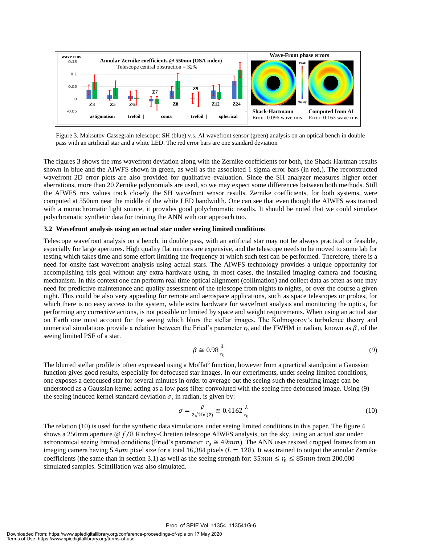

Figure 3. Maksutov-Cassegrain telescope: SH (blue) v.s. AI wavefront sensor (green) analysis on an optical bench in double pass with an artificial star and a white LED. The red error bars are one standard deviation

The figures 3 shows the rms wavefront deviation along with the Zernike coefficients for both, the Shack Hartman results shown in blue and the AIWFS shown in green, as well as the associated 1 sigma error bars (in red,). The reconstructed wavefront 2D error plots are also provided for qualitative evaluation. Since the SH analyzer measures higher order aberrations, more than 20 Zernike polynomials are used, so we may expect some differences between both methods. Still the AIWFS rms values track closely the SH wavefront sensor results. Zernike coefficients, for both systems, were computed at 550nm near the middle of the white LED bandwidth. One can see that even though the AIWFS was trained with a monochromatic light source, it provides good polychromatic results. It should be noted that we could simulate polychromatic synthetic data for training the ANN with our approach too.

#### **3.2 Wavefront analysis using an actual star under seeing limited conditions**

Telescope wavefront analysis on a bench, in double pass, with an artificial star may not be always practical or feasible, especially for large apertures. High quality flat mirrors are expensive, and the telescope needs to be moved to some lab for testing which takes time and some effort limiting the frequency at which such test can be performed. Therefore, there is a need for onsite fast wavefront analysis using actual stars. The AIWFS technology provides a unique opportunity for accomplishing this goal without any extra hardware using, in most cases, the installed imaging camera and focusing mechanism. In this context one can perform real time optical alignment (collimation) and collect data as often as one may need for predictive maintenance and quality assessment of the telescope from nights to nights, or over the course a given night. This could be also very appealing for remote and aerospace applications, such as space telescopes or probes, for which there is no easy access to the system, while extra hardware for wavefront analysis and monitoring the optics, for performing any corrective actions, is not possible or limited by space and weight requirements. When using an actual star on Earth one must account for the seeing which blurs the stellar images. The Kolmogorov's turbulence theory and numerical simulations provide a relation between the Fried's parameter  $r_0$  and the FWHM in radian, known as  $\beta$ , of the seeing limited PSF of a star.

$$
\beta \cong 0.98 \frac{\lambda}{r_0} \tag{9}
$$

The blurred stellar profile is often expressed using a Moffat<sup>6</sup> function, however from a practical standpoint a Gaussian function gives good results, especially for defocused star images. In our experiments, under seeing limited conditions, one exposes a defocused star for several minutes in order to average out the seeing such the resulting image can be understood as a Gaussian kernel acting as a low pass filter convoluted with the seeing free defocused image. Using (9) the seeing induced kernel standard deviation  $\sigma$ , in radian, is given by:

$$
\sigma = \frac{\beta}{2\sqrt{2\ln(2)}} \approx 0.4162 \frac{\lambda}{r_0} \tag{10}
$$

The relation (10) is used for the synthetic data simulations under seeing limited conditions in this paper. The figure 4 shows a 256mm aperture  $\mathcal{Q}f/8$  Ritchey-Chretien telescope AIWFS analysis, on the sky, using an actual star under astronomical seeing limited conditions (Fried's parameter  $r_0 \approx 49$ mm). The ANN uses resized cropped frames from an imaging camera having 5.4 $\mu$ m pixel size for a total 16,384 pixels ( $L = 128$ ). It was trained to output the annular Zernike coefficients (the same than in section 3.1) as well as the seeing strength for:  $35mm \le r_0 \le 85mm$  from 200,000 simulated samples. Scintillation was also simulated.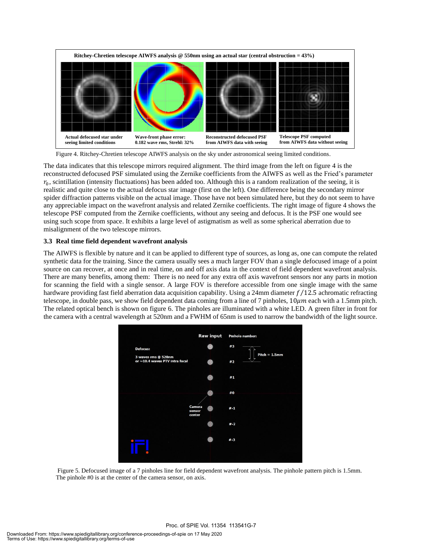

Figure 4. Ritchey-Chretien telescope AIWFS analysis on the sky under astronomical seeing limited conditions.

The data indicates that this telescope mirrors required alignment. The third image from the left on figure 4 is the reconstructed defocused PSF simulated using the Zernike coefficients from the AIWFS as well as the Fried's parameter  $r_0$ , scintillation (intensity fluctuations) has been added too. Although this is a random realization of the seeing, it is realistic and quite close to the actual defocus star image (first on the left). One difference being the secondary mirror spider diffraction patterns visible on the actual image. Those have not been simulated here, but they do not seem to have any appreciable impact on the wavefront analysis and related Zernike coefficients. The right image of figure 4 shows the telescope PSF computed from the Zernike coefficients, without any seeing and defocus. It is the PSF one would see using such scope from space. It exhibits a large level of astigmatism as well as some spherical aberration due to misalignment of the two telescope mirrors.

# **3.3 Real time field dependent wavefront analysis**

The AIWFS is flexible by nature and it can be applied to different type of sources, as long as, one can compute the related synthetic data for the training. Since the camera usually sees a much larger FOV than a single defocused image of a point source on can recover, at once and in real time, on and off axis data in the context of field dependent wavefront analysis. There are many benefits, among them: There is no need for any extra off axis wavefront sensors nor any parts in motion for scanning the field with a single sensor. A large FOV is therefore accessible from one single image with the same hardware providing fast field aberration data acquisition capability. Using a 24mm diameter  $f/12.5$  achromatic refracting telescope, in double pass, we show field dependent data coming from a line of 7 pinholes,  $10 \mu m$  each with a 1.5mm pitch. The related optical bench is shown on figure 6. The pinholes are illuminated with a white LED. A green filter in front for the camera with a central wavelength at 520nm and a FWHM of 65nm is used to narrow the bandwidth of the light source.



Figure 5. Defocused image of a 7 pinholes line for field dependent wavefront analysis. The pinhole pattern pitch is 1.5mm. The pinhole #0 is at the center of the camera sensor, on axis.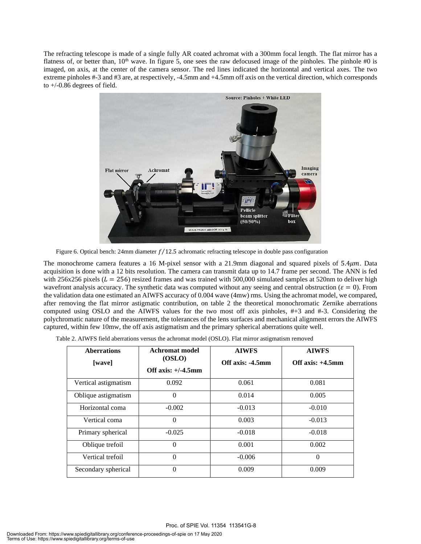The refracting telescope is made of a single fully AR coated achromat with a 300mm focal length. The flat mirror has a flatness of, or better than,  $10<sup>th</sup>$  wave. In figure 5, one sees the raw defocused image of the pinholes. The pinhole #0 is imaged, on axis, at the center of the camera sensor. The red lines indicated the horizontal and vertical axes. The two extreme pinholes #-3 and #3 are, at respectively, -4.5mm and +4.5mm off axis on the vertical direction, which corresponds to  $+/-0.86$  degrees of field.



Figure 6. Optical bench: 24mm diameter  $f/12.5$  achromatic refracting telescope in double pass configuration

The monochrome camera features a 16 M-pixel sensor with a 21.9mm diagonal and squared pixels of  $5.4 \mu m$ . Data acquisition is done with a 12 bits resolution. The camera can transmit data up to 14.7 frame per second. The ANN is fed with 256x256 pixels ( $L = 256$ ) resized frames and was trained with 500,000 simulated samples at 520nm to deliver high wavefront analysis accuracy. The synthetic data was computed without any seeing and central obstruction ( $\varepsilon = 0$ ). From the validation data one estimated an AIWFS accuracy of 0.004 wave (4mw) rms. Using the achromat model, we compared, after removing the flat mirror astigmatic contribution, on table 2 the theoretical monochromatic Zernike aberrations computed using OSLO and the AIWFS values for the two most off axis pinholes, #+3 and #-3. Considering the polychromatic nature of the measurement, the tolerances of the lens surfaces and mechanical alignment errors the AIWFS captured, within few 10mw, the off axis astigmatism and the primary spherical aberrations quite well.

| Table 2. AIWFS field aberrations versus the achromat model (OSLO). Flat mirror astigmatism removed |  |
|----------------------------------------------------------------------------------------------------|--|
|                                                                                                    |  |

| <b>Aberrations</b>   | <b>Achromat model</b>           | <b>AIWFS</b>     | <b>AIWFS</b>        |
|----------------------|---------------------------------|------------------|---------------------|
| [wave]               | (OSLO)<br>Off axis: $+/-4.5$ mm | Off axis: -4.5mm | Off axis: $+4.5$ mm |
| Vertical astigmatism | 0.092                           | 0.061            | 0.081               |
| Oblique astigmatism  | $\theta$                        | 0.014            | 0.005               |
| Horizontal coma      | $-0.002$                        | $-0.013$         | $-0.010$            |
| Vertical coma        | $\Omega$                        | 0.003            | $-0.013$            |
| Primary spherical    | $-0.025$                        | $-0.018$         | $-0.018$            |
| Oblique trefoil      | $\Omega$                        | 0.001            | 0.002               |
| Vertical trefoil     | $\Omega$                        | $-0.006$         | $\Omega$            |
| Secondary spherical  | $\Omega$                        | 0.009            | 0.009               |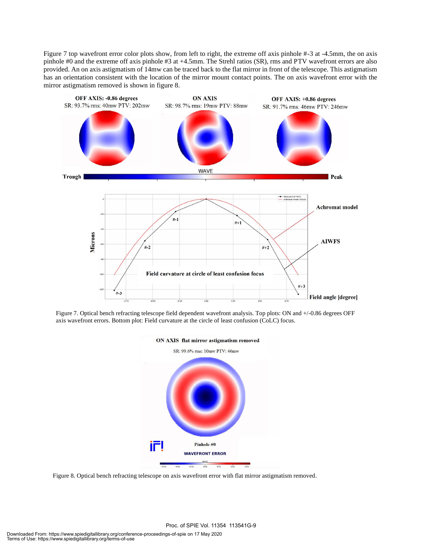Figure 7 top wavefront error color plots show, from left to right, the extreme off axis pinhole #-3 at -4.5mm, the on axis pinhole #0 and the extreme off axis pinhole #3 at +4.5mm. The Strehl ratios (SR), rms and PTV wavefront errors are also provided. An on axis astigmatism of 14mw can be traced back to the flat mirror in front of the telescope. This astigmatism has an orientation consistent with the location of the mirror mount contact points. The on axis wavefront error with the mirror astigmatism removed is shown in figure 8.



Figure 7. Optical bench refracting telescope field dependent wavefront analysis. Top plots: ON and +/-0.86 degrees OFF axis wavefront errors. Bottom plot: Field curvature at the circle of least confusion (CoLC) focus.



Figure 8. Optical bench refracting telescope on axis wavefront error with flat mirror astigmatism removed.